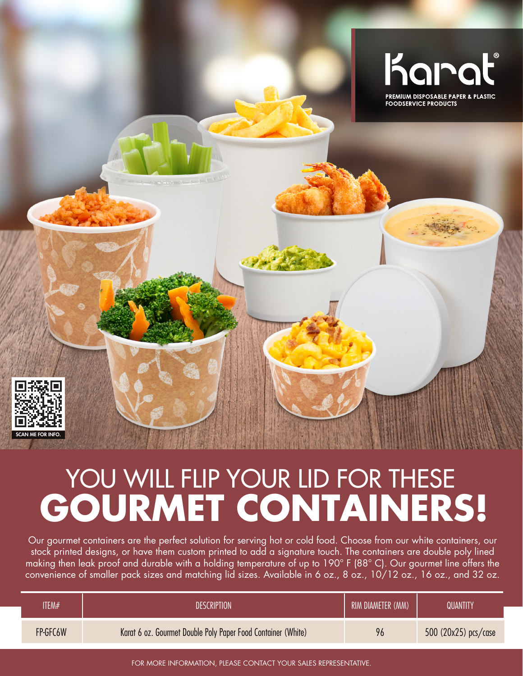

## YOU WILL FLIP YOUR LID FOR THESE **GOURMET CONTAINERS!**

Our gourmet containers are the perfect solution for serving hot or cold food. Choose from our white containers, our stock printed designs, or have them custom printed to add a signature touch. The containers are double poly lined making then leak proof and durable with a holding temperature of up to 190° F (88° C). Our gourmet line offers the convenience of smaller pack sizes and matching lid sizes. Available in 6 oz., 8 oz., 10/12 oz., 16 oz., and 32 oz.

| ITEM#    | <b>DESCRIPTION</b>                                           | RIM DIAMETER (MM) | QUANTITY               |
|----------|--------------------------------------------------------------|-------------------|------------------------|
| FP-GFC6W | Karat 6 oz. Gourmet Double Poly Paper Food Container (White) | 96                | 500 $(20x25)$ pcs/case |